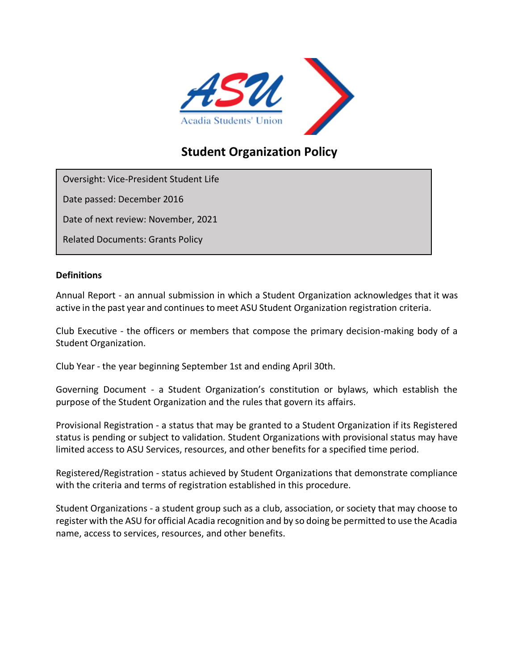

# **Student Organization Policy**

Oversight: Vice-President Student Life

Date passed: December 2016

Date of next review: November, 2021

Related Documents: Grants Policy

#### **Definitions**

Annual Report - an annual submission in which a Student Organization acknowledges that it was active in the past year and continues to meet ASU Student Organization registration criteria.

Club Executive - the officers or members that compose the primary decision-making body of a Student Organization.

Club Year - the year beginning September 1st and ending April 30th.

Governing Document - a Student Organization's constitution or bylaws, which establish the purpose of the Student Organization and the rules that govern its affairs.

Provisional Registration - a status that may be granted to a Student Organization if its Registered status is pending or subject to validation. Student Organizations with provisional status may have limited access to ASU Services, resources, and other benefits for a specified time period.

Registered/Registration - status achieved by Student Organizations that demonstrate compliance with the criteria and terms of registration established in this procedure.

Student Organizations - a student group such as a club, association, or society that may choose to register with the ASU for official Acadia recognition and by so doing be permitted to use the Acadia name, access to services, resources, and other benefits.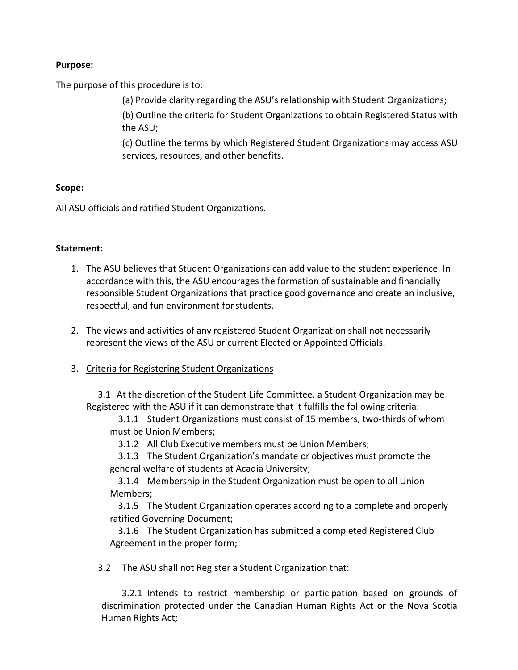## **Purpose:**

The purpose of this procedure is to:

(a) Provide clarity regarding the ASU's relationship with Student Organizations;

(b) Outline the criteria for Student Organizations to obtain Registered Status with the ASU;

(c) Outline the terms by which Registered Student Organizations may access ASU services, resources, and other benefits.

## **Scope:**

All ASU officials and ratified Student Organizations.

## **Statement:**

- 1. The ASU believes that Student Organizations can add value to the student experience. In accordance with this, the ASU encourages the formation of sustainable and financially responsible Student Organizations that practice good governance and create an inclusive, respectful, and fun environment forstudents.
- 2. The views and activities of any registered Student Organization shall not necessarily represent the views of the ASU or current Elected or Appointed Officials.
- 3. Criteria for Registering Student Organizations

3.1 At the discretion of the Student Life Committee, a Student Organization may be Registered with the ASU if it can demonstrate that it fulfills the following criteria:

3.1.1 Student Organizations must consist of 15 members, two-thirds of whom must be Union Members;

3.1.2 All Club Executive members must be Union Members;

3.1.3 The Student Organization's mandate or objectives must promote the general welfare of students at Acadia University;

3.1.4 Membership in the Student Organization must be open to all Union Members;

3.1.5 The Student Organization operates according to a complete and properly ratified Governing Document;

3.1.6 The Student Organization has submitted a completed Registered Club Agreement in the proper form;

3.2 The ASU shall not Register a Student Organization that:

3.2.1 Intends to restrict membership or participation based on grounds of discrimination protected under the Canadian Human Rights Act or the Nova Scotia Human Rights Act;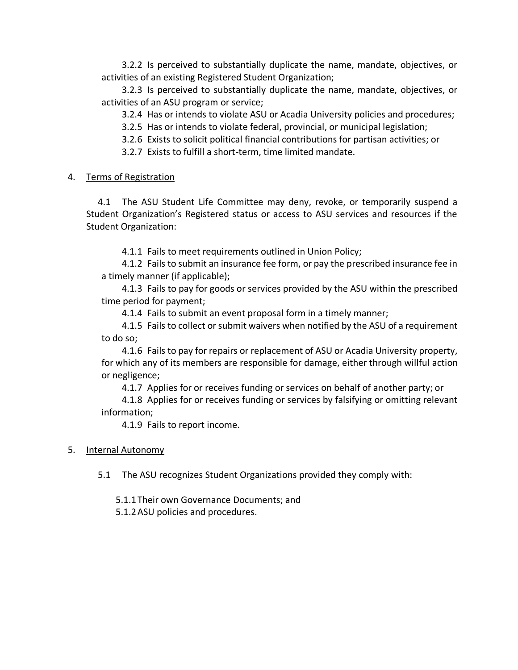3.2.2 Is perceived to substantially duplicate the name, mandate, objectives, or activities of an existing Registered Student Organization;

3.2.3 Is perceived to substantially duplicate the name, mandate, objectives, or activities of an ASU program or service;

3.2.4 Has or intends to violate ASU or Acadia University policies and procedures;

3.2.5 Has or intends to violate federal, provincial, or municipal legislation;

3.2.6 Exists to solicit political financial contributions for partisan activities; or

3.2.7 Exists to fulfill a short-term, time limited mandate.

### 4. Terms of Registration

4.1 The ASU Student Life Committee may deny, revoke, or temporarily suspend a Student Organization's Registered status or access to ASU services and resources if the Student Organization:

4.1.1 Fails to meet requirements outlined in Union Policy;

4.1.2 Fails to submit an insurance fee form, or pay the prescribed insurance fee in a timely manner (if applicable);

4.1.3 Fails to pay for goods or services provided by the ASU within the prescribed time period for payment;

4.1.4 Fails to submit an event proposal form in a timely manner;

4.1.5 Fails to collect or submit waivers when notified by the ASU of a requirement to do so;

4.1.6 Fails to pay for repairs or replacement of ASU or Acadia University property, for which any of its members are responsible for damage, either through willful action or negligence;

4.1.7 Applies for or receives funding or services on behalf of another party; or

4.1.8 Applies for or receives funding or services by falsifying or omitting relevant information;

4.1.9 Fails to report income.

### 5. Internal Autonomy

5.1 The ASU recognizes Student Organizations provided they comply with:

5.1.1Their own Governance Documents; and

5.1.2ASU policies and procedures.